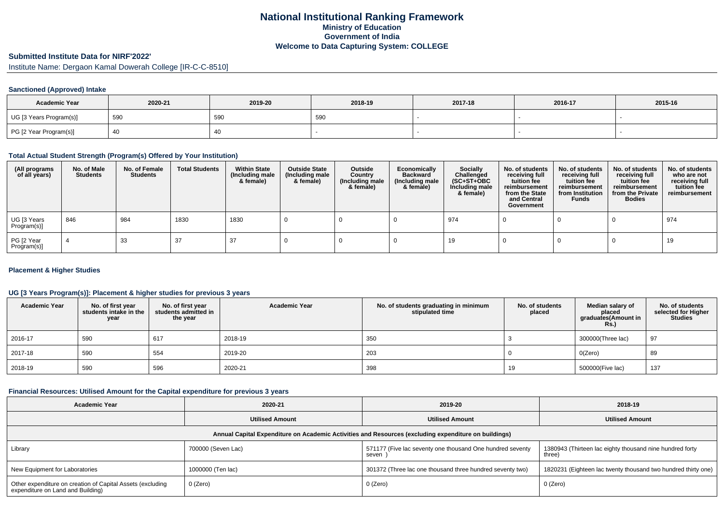## **National Institutional Ranking FrameworkMinistry of Education Government of IndiaWelcome to Data Capturing System: COLLEGE**

# **Submitted Institute Data for NIRF'2022'**

Institute Name: Dergaon Kamal Dowerah College [IR-C-C-8510]

### **Sanctioned (Approved) Intake**

| <b>Academic Year</b>    | 2020-21 | 2019-20 | 2018-19 | 2017-18 | 2016-17 | 2015-16 |
|-------------------------|---------|---------|---------|---------|---------|---------|
| UG [3 Years Program(s)] | 590     | 590     | 590     |         |         |         |
| PG [2 Year Program(s)]  |         | 40      |         |         |         |         |

#### **Total Actual Student Strength (Program(s) Offered by Your Institution)**

| (All programs<br>of all years) | No. of Male<br><b>Students</b> | No. of Female<br>Students | <b>Total Students</b> | <b>Within State</b><br>(Including male<br>& female) | <b>Outside State</b><br>(Including male<br>& female) | Outside<br>Country<br>(Including male<br>& female) | Economically<br><b>Backward</b><br>(Including male<br>& female) | <b>Socially</b><br>Challenged<br>$(SC+ST+OBC)$<br>Including male<br>& female) | No. of students<br>receiving full<br>tuition fee<br>reimbursement<br>from the State<br>and Central<br>Government | No. of students<br>receiving full<br>tuition fee<br>reimbursement<br>from Institution<br><b>Funds</b> | No. of students<br>receiving full<br>tuition fee<br>reimbursement<br>from the Private<br><b>Bodies</b> | No. of students<br>who are not<br>receiving full<br>tuition fee<br>reimbursement |
|--------------------------------|--------------------------------|---------------------------|-----------------------|-----------------------------------------------------|------------------------------------------------------|----------------------------------------------------|-----------------------------------------------------------------|-------------------------------------------------------------------------------|------------------------------------------------------------------------------------------------------------------|-------------------------------------------------------------------------------------------------------|--------------------------------------------------------------------------------------------------------|----------------------------------------------------------------------------------|
| UG [3 Years<br>Program(s)]     | 846                            | 984                       | 1830                  | 1830                                                |                                                      |                                                    |                                                                 | 974                                                                           |                                                                                                                  |                                                                                                       |                                                                                                        | 974                                                                              |
| PG [2 Year<br>Program(s)]      |                                | 33                        | 37                    | 37                                                  |                                                      |                                                    |                                                                 | 19                                                                            |                                                                                                                  |                                                                                                       |                                                                                                        | 19                                                                               |

#### **Placement & Higher Studies**

#### **UG [3 Years Program(s)]: Placement & higher studies for previous 3 years**

| <b>Academic Year</b> | No. of first year<br>students intake in the<br>year | No. of first year<br>students admitted in<br>the year | <b>Academic Year</b> | No. of students graduating in minimum<br>stipulated time | No. of students<br>placed | Median salary of<br>placed<br>graduates(Amount in<br><b>Rs.)</b> | No. of students<br>selected for Higher<br><b>Studies</b> |
|----------------------|-----------------------------------------------------|-------------------------------------------------------|----------------------|----------------------------------------------------------|---------------------------|------------------------------------------------------------------|----------------------------------------------------------|
| 2016-17              | 590                                                 | 617                                                   | 2018-19              | 350                                                      |                           | 300000(Three lac)                                                | 97                                                       |
| 2017-18              | 590                                                 | 554                                                   | 2019-20              | 203                                                      |                           | O(Zero)                                                          | 89                                                       |
| 2018-19              | 590                                                 | 596                                                   | 2020-21              | 398                                                      | 19                        | 500000(Five lac)                                                 | 137                                                      |

### **Financial Resources: Utilised Amount for the Capital expenditure for previous 3 years**

| <b>Academic Year</b>                                                                                 | 2020-21                | 2019-20                                                            | 2018-19                                                            |  |  |  |  |  |  |  |
|------------------------------------------------------------------------------------------------------|------------------------|--------------------------------------------------------------------|--------------------------------------------------------------------|--|--|--|--|--|--|--|
|                                                                                                      | <b>Utilised Amount</b> |                                                                    | <b>Utilised Amount</b>                                             |  |  |  |  |  |  |  |
| Annual Capital Expenditure on Academic Activities and Resources (excluding expenditure on buildings) |                        |                                                                    |                                                                    |  |  |  |  |  |  |  |
| Library                                                                                              | 700000 (Seven Lac)     | 571177 (Five lac seventy one thousand One hundred seventy<br>seven | 1380943 (Thirteen lac eighty thousand nine hundred forty<br>three) |  |  |  |  |  |  |  |
| New Equipment for Laboratories                                                                       | 1000000 (Ten lac)      | 301372 (Three lac one thousand three hundred seventy two)          | 1820231 (Eighteen lac twenty thousand two hundred thirty one)      |  |  |  |  |  |  |  |
| Other expenditure on creation of Capital Assets (excluding<br>expenditure on Land and Building)      | 0 (Zero)               | 0 (Zero)                                                           | 0 (Zero)                                                           |  |  |  |  |  |  |  |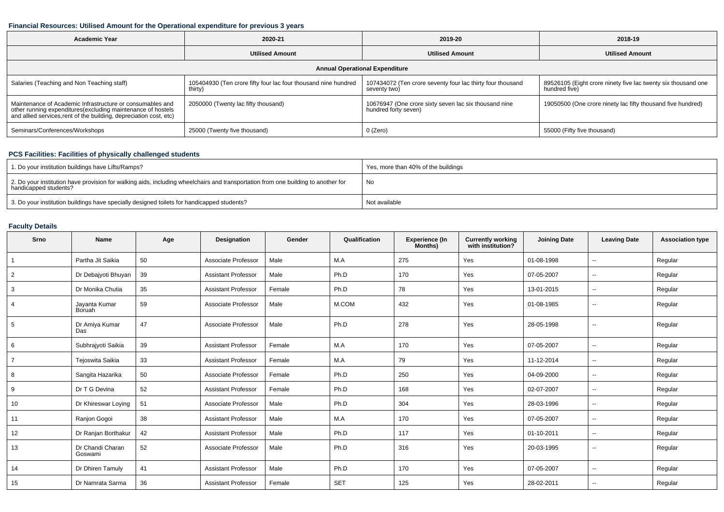#### **Financial Resources: Utilised Amount for the Operational expenditure for previous 3 years**

| <b>Academic Year</b>                                                                                                                                                                          | 2020-21                                                                   | 2019-20                                                                       | 2018-19                                                                        |  |  |  |  |  |  |  |
|-----------------------------------------------------------------------------------------------------------------------------------------------------------------------------------------------|---------------------------------------------------------------------------|-------------------------------------------------------------------------------|--------------------------------------------------------------------------------|--|--|--|--|--|--|--|
|                                                                                                                                                                                               | <b>Utilised Amount</b>                                                    | <b>Utilised Amount</b>                                                        | <b>Utilised Amount</b>                                                         |  |  |  |  |  |  |  |
| <b>Annual Operational Expenditure</b>                                                                                                                                                         |                                                                           |                                                                               |                                                                                |  |  |  |  |  |  |  |
| Salaries (Teaching and Non Teaching staff)                                                                                                                                                    | 105404930 (Ten crore fifty four lac four thousand nine hundred<br>thirty) | 107434072 (Ten crore seventy four lac thirty four thousand<br>seventy two)    | 89526105 (Eight crore ninety five lac twenty six thousand one<br>hundred five) |  |  |  |  |  |  |  |
| Maintenance of Academic Infrastructure or consumables and<br>other running expenditures(excluding maintenance of hostels<br>and allied services,rent of the building, depreciation cost, etc) | 2050000 (Twenty lac fifty thousand)                                       | 10676947 (One crore sixty seven lac six thousand nine<br>hundred forty seven) | 19050500 (One crore ninety lac fifty thousand five hundred)                    |  |  |  |  |  |  |  |
| Seminars/Conferences/Workshops                                                                                                                                                                | 25000 (Twenty five thousand)                                              | 0 (Zero)                                                                      | 55000 (Fifty five thousand)                                                    |  |  |  |  |  |  |  |

## **PCS Facilities: Facilities of physically challenged students**

| 1. Do your institution buildings have Lifts/Ramps?                                                                                                         | Yes, more than 40% of the buildings |
|------------------------------------------------------------------------------------------------------------------------------------------------------------|-------------------------------------|
| 2. Do your institution have provision for walking aids, including wheelchairs and transportation from one building to another for<br>handicapped students? | No                                  |
| 3. Do your institution buildings have specially designed toilets for handicapped students?                                                                 | Not available                       |

## **Faculty Details**

| Srno           | Name                        | Age | Designation                | Gender | Qualification | Experience (In<br>Months) | <b>Currently working</b><br>with institution? | <b>Joining Date</b> | <b>Leaving Date</b>      | <b>Association type</b> |
|----------------|-----------------------------|-----|----------------------------|--------|---------------|---------------------------|-----------------------------------------------|---------------------|--------------------------|-------------------------|
| $\overline{1}$ | Partha Jit Saikia           | 50  | Associate Professor        | Male   | M.A           | 275                       | Yes                                           | 01-08-1998          | $\overline{a}$           | Regular                 |
| $\overline{2}$ | Dr Debajyoti Bhuyan         | 39  | <b>Assistant Professor</b> | Male   | Ph.D          | 170                       | Yes                                           | 07-05-2007          | $\overline{\phantom{a}}$ | Regular                 |
| 3              | Dr Monika Chutia            | 35  | <b>Assistant Professor</b> | Female | Ph.D          | 78                        | Yes                                           | 13-01-2015          | $\sim$                   | Regular                 |
| 4              | Jayanta Kumar<br>Boruah     | 59  | Associate Professor        | Male   | M.COM         | 432                       | Yes                                           | 01-08-1985          | $\overline{\phantom{a}}$ | Regular                 |
| 5              | Dr Amiya Kumar<br>Das       | 47  | Associate Professor        | Male   | Ph.D          | 278                       | Yes                                           | 28-05-1998          | $\sim$                   | Regular                 |
| 6              | Subhrajyoti Saikia          | 39  | <b>Assistant Professor</b> | Female | M.A           | 170                       | Yes                                           | 07-05-2007          | $\overline{\phantom{a}}$ | Regular                 |
| $\overline{7}$ | Tejoswita Saikia            | 33  | <b>Assistant Professor</b> | Female | M.A           | 79                        | Yes                                           | 11-12-2014          | $\sim$                   | Regular                 |
| 8              | Sangita Hazarika            | 50  | Associate Professor        | Female | Ph.D          | 250                       | Yes                                           | 04-09-2000          | $\sim$                   | Regular                 |
| 9              | Dr T G Devina               | 52  | <b>Assistant Professor</b> | Female | Ph.D          | 168                       | Yes                                           | 02-07-2007          | $\overline{\phantom{a}}$ | Regular                 |
| 10             | Dr Khireswar Loying         | 51  | Associate Professor        | Male   | Ph.D          | 304                       | Yes                                           | 28-03-1996          | $\sim$                   | Regular                 |
| 11             | Ranjon Gogoi                | 38  | <b>Assistant Professor</b> | Male   | M.A           | 170                       | Yes                                           | 07-05-2007          | $\sim$                   | Regular                 |
| 12             | Dr Ranjan Borthakur         | 42  | <b>Assistant Professor</b> | Male   | Ph.D          | 117                       | Yes                                           | 01-10-2011          | $\sim$                   | Regular                 |
| 13             | Dr Chandi Charan<br>Goswami | 52  | Associate Professor        | Male   | Ph.D          | 316                       | Yes                                           | 20-03-1995          | $\sim$                   | Regular                 |
| 14             | Dr Dhiren Tamuly            | 41  | <b>Assistant Professor</b> | Male   | Ph.D          | 170                       | Yes                                           | 07-05-2007          | $\sim$                   | Regular                 |
| 15             | Dr Namrata Sarma            | 36  | <b>Assistant Professor</b> | Female | <b>SET</b>    | 125                       | Yes                                           | 28-02-2011          | $\overline{\phantom{a}}$ | Regular                 |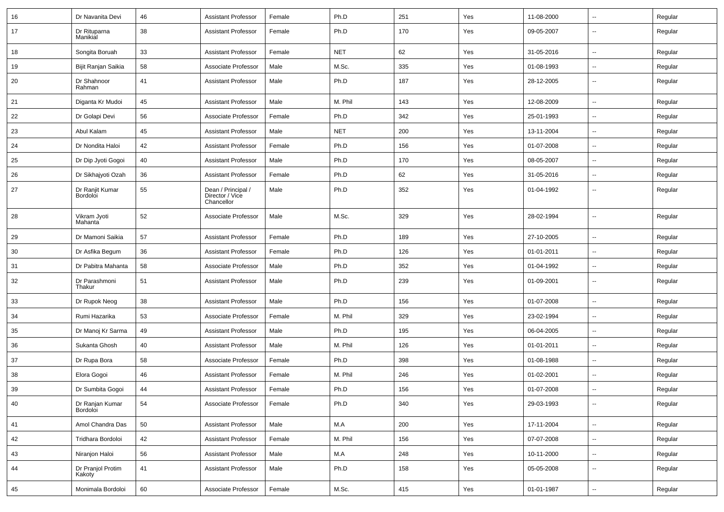| 16 | Dr Navanita Devi            | 46 | <b>Assistant Professor</b>                          | Female | Ph.D       | 251 | Yes | 11-08-2000 | ⊶.                       | Regular |
|----|-----------------------------|----|-----------------------------------------------------|--------|------------|-----|-----|------------|--------------------------|---------|
| 17 | Dr Rituparna<br>Manikial    | 38 | <b>Assistant Professor</b>                          | Female | Ph.D       | 170 | Yes | 09-05-2007 | --                       | Regular |
| 18 | Songita Boruah              | 33 | <b>Assistant Professor</b>                          | Female | <b>NET</b> | 62  | Yes | 31-05-2016 | −−                       | Regular |
| 19 | Bijit Ranjan Saikia         | 58 | Associate Professor                                 | Male   | M.Sc.      | 335 | Yes | 01-08-1993 | н.                       | Regular |
| 20 | Dr Shahnoor<br>Rahman       | 41 | <b>Assistant Professor</b>                          | Male   | Ph.D       | 187 | Yes | 28-12-2005 | --                       | Regular |
| 21 | Diganta Kr Mudoi            | 45 | <b>Assistant Professor</b>                          | Male   | M. Phil    | 143 | Yes | 12-08-2009 | --                       | Regular |
| 22 | Dr Golapi Devi              | 56 | Associate Professor                                 | Female | Ph.D       | 342 | Yes | 25-01-1993 | --                       | Regular |
| 23 | Abul Kalam                  | 45 | <b>Assistant Professor</b>                          | Male   | <b>NET</b> | 200 | Yes | 13-11-2004 | $\sim$                   | Regular |
| 24 | Dr Nondita Haloi            | 42 | <b>Assistant Professor</b>                          | Female | Ph.D       | 156 | Yes | 01-07-2008 | ⊶.                       | Regular |
| 25 | Dr Dip Jyoti Gogoi          | 40 | <b>Assistant Professor</b>                          | Male   | Ph.D       | 170 | Yes | 08-05-2007 | -−                       | Regular |
| 26 | Dr Sikhajyoti Ozah          | 36 | <b>Assistant Professor</b>                          | Female | Ph.D       | 62  | Yes | 31-05-2016 | -−                       | Regular |
| 27 | Dr Ranjit Kumar<br>Bordoloi | 55 | Dean / Principal /<br>Director / Vice<br>Chancellor | Male   | Ph.D       | 352 | Yes | 01-04-1992 | --                       | Regular |
| 28 | Vikram Jyoti<br>Mahanta     | 52 | Associate Professor                                 | Male   | M.Sc.      | 329 | Yes | 28-02-1994 | $\overline{\phantom{a}}$ | Regular |
| 29 | Dr Mamoni Saikia            | 57 | <b>Assistant Professor</b>                          | Female | Ph.D       | 189 | Yes | 27-10-2005 | -−                       | Regular |
| 30 | Dr Asfika Begum             | 36 | <b>Assistant Professor</b>                          | Female | Ph.D       | 126 | Yes | 01-01-2011 | --                       | Regular |
| 31 | Dr Pabitra Mahanta          | 58 | Associate Professor                                 | Male   | Ph.D       | 352 | Yes | 01-04-1992 | -−                       | Regular |
| 32 | Dr Parashmoni<br>Thakur     | 51 | <b>Assistant Professor</b>                          | Male   | Ph.D       | 239 | Yes | 01-09-2001 | $\sim$                   | Regular |
| 33 | Dr Rupok Neog               | 38 | <b>Assistant Professor</b>                          | Male   | Ph.D       | 156 | Yes | 01-07-2008 | Ξ.                       | Regular |
| 34 | Rumi Hazarika               | 53 | Associate Professor                                 | Female | M. Phil    | 329 | Yes | 23-02-1994 | ⊶.                       | Regular |
| 35 | Dr Manoj Kr Sarma           | 49 | <b>Assistant Professor</b>                          | Male   | Ph.D       | 195 | Yes | 06-04-2005 | -−                       | Regular |
| 36 | Sukanta Ghosh               | 40 | <b>Assistant Professor</b>                          | Male   | M. Phil    | 126 | Yes | 01-01-2011 | $\overline{\phantom{a}}$ | Regular |
| 37 | Dr Rupa Bora                | 58 | Associate Professor                                 | Female | Ph.D       | 398 | Yes | 01-08-1988 | --                       | Regular |
| 38 | Elora Gogoi                 | 46 | <b>Assistant Professor</b>                          | Female | M. Phil    | 246 | Yes | 01-02-2001 | --                       | Regular |
| 39 | Dr Sumbita Gogoi            | 44 | <b>Assistant Professor</b>                          | Female | Ph.D       | 156 | Yes | 01-07-2008 | $\overline{\phantom{a}}$ | Regular |
| 40 | Dr Ranjan Kumar<br>Bordoloi | 54 | Associate Professor                                 | Female | Ph.D       | 340 | Yes | 29-03-1993 | $\overline{\phantom{a}}$ | Regular |
| 41 | Amol Chandra Das            | 50 | <b>Assistant Professor</b>                          | Male   | M.A        | 200 | Yes | 17-11-2004 | Щ,                       | Regular |
| 42 | Tridhara Bordoloi           | 42 | <b>Assistant Professor</b>                          | Female | M. Phil    | 156 | Yes | 07-07-2008 | −−                       | Regular |
| 43 | Niranjon Haloi              | 56 | <b>Assistant Professor</b>                          | Male   | M.A        | 248 | Yes | 10-11-2000 | $\overline{\phantom{a}}$ | Regular |
| 44 | Dr Pranjol Protim<br>Kakoty | 41 | <b>Assistant Professor</b>                          | Male   | Ph.D       | 158 | Yes | 05-05-2008 | $\overline{\phantom{a}}$ | Regular |
| 45 | Monimala Bordoloi           | 60 | Associate Professor                                 | Female | M.Sc.      | 415 | Yes | 01-01-1987 | $\overline{\phantom{a}}$ | Regular |